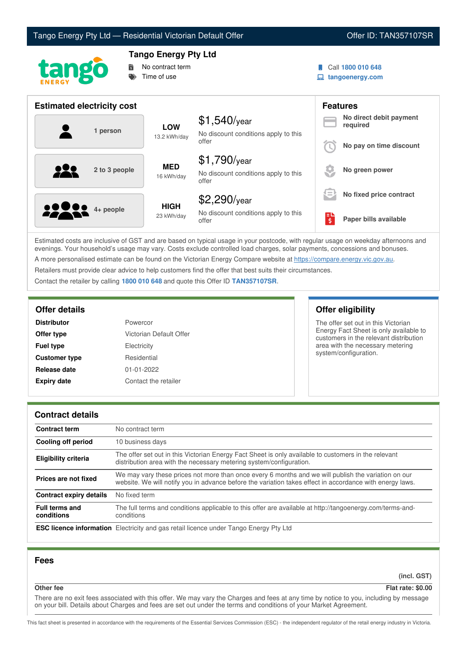



# **Tango Energy Pty Ltd**

No contract term Time of use

- Call **1800 010 648**
- **tangoenergy.com**

| <b>Estimated electricity cost</b> |                            |                                                                 |                     | <b>Features</b>                     |
|-----------------------------------|----------------------------|-----------------------------------------------------------------|---------------------|-------------------------------------|
| 1 person                          | <b>LOW</b><br>13.2 kWh/day | $$1,540$ /year<br>No discount conditions apply to this<br>offer |                     | No direct debit payment<br>required |
|                                   |                            |                                                                 |                     | No pay on time discount             |
| 2 to 3 people                     | <b>MED</b><br>16 kWh/day   | $$1,790$ /year<br>No discount conditions apply to this<br>offer |                     | No green power                      |
|                                   |                            | $$2,290$ /year                                                  | $\equiv$            | No fixed price contract             |
| <b>80000</b> 4+ people            | <b>HIGH</b><br>23 kWh/day  | No discount conditions apply to this<br>offer                   | $\ddot{\bm{\zeta}}$ | Paper bills available               |

Estimated costs are inclusive of GST and are based on typical usage in your postcode, with regular usage on weekday afternoons and evenings. Your household's usage may vary. Costs exclude controlled load charges, solar payments, concessions and bonuses. A more personalised estimate can be found on the Victorian Energy Compare website at <https://compare.energy.vic.gov.au>.

Retailers must provide clear advice to help customers find the offer that best suits their circumstances.

Contact the retailer by calling **1800 010 648** and quote this Offer ID **TAN357107SR**.

| <b>Distributor</b>   | Powercor                |
|----------------------|-------------------------|
| Offer type           | Victorian Default Offer |
| <b>Fuel type</b>     | Electricity             |
| <b>Customer type</b> | Residential             |
| Release date         | $01 - 01 - 2022$        |
| <b>Expiry date</b>   | Contact the retailer    |

## **Offer details Offer eligibility**

The offer set out in this Victorian Energy Fact Sheet is only available to customers in the relevant distribution area with the necessary metering system/configuration.

## **Contract details**

| <b>Contract term</b>                | No contract term                                                                                                                                                                                                |
|-------------------------------------|-----------------------------------------------------------------------------------------------------------------------------------------------------------------------------------------------------------------|
| Cooling off period                  | 10 business days                                                                                                                                                                                                |
| <b>Eligibility criteria</b>         | The offer set out in this Victorian Energy Fact Sheet is only available to customers in the relevant<br>distribution area with the necessary metering system/configuration.                                     |
| Prices are not fixed                | We may vary these prices not more than once every 6 months and we will publish the variation on our<br>website. We will notify you in advance before the variation takes effect in accordance with energy laws. |
| Contract expiry details             | No fixed term                                                                                                                                                                                                   |
| <b>Full terms and</b><br>conditions | The full terms and conditions applicable to this offer are available at http://tangoenergy.com/terms-and-<br>conditions                                                                                         |
|                                     | <b>ESC licence information</b> Electricity and gas retail licence under Tango Energy Pty Ltd                                                                                                                    |

## **Fees**

**(incl. GST)**

**Other fee Flat rate: \$0.00**

There are no exit fees associated with this offer. We may vary the Charges and fees at any time by notice to you, including by message on your bill. Details about Charges and fees are set out under the terms and conditions of your Market Agreement.

This fact sheet is presented in accordance with the requirements of the Essential Services Commission (ESC) - the independent regulator of the retail energy industry in Victoria.